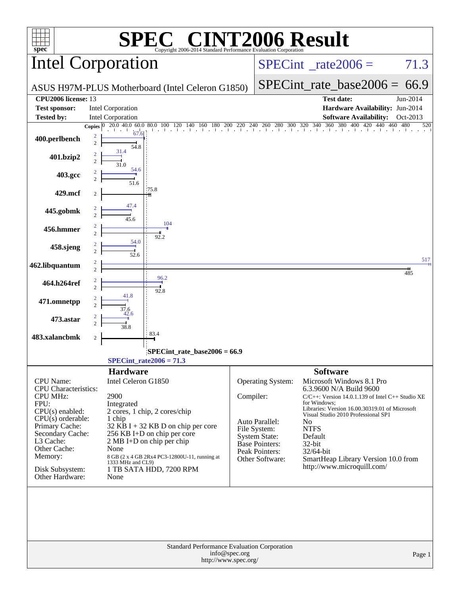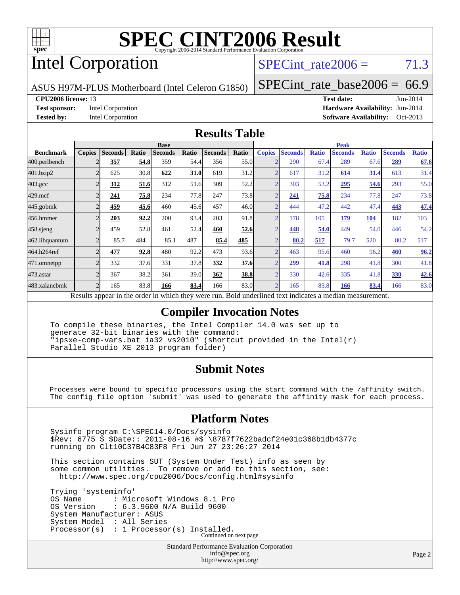

# Intel Corporation

 $SPECTnt_rate2006 = 71.3$ 

ASUS H97M-PLUS Motherboard (Intel Celeron G1850)

[SPECint\\_rate\\_base2006 =](http://www.spec.org/auto/cpu2006/Docs/result-fields.html#SPECintratebase2006)  $66.9$ 

**[CPU2006 license:](http://www.spec.org/auto/cpu2006/Docs/result-fields.html#CPU2006license)** 13 **[Test date:](http://www.spec.org/auto/cpu2006/Docs/result-fields.html#Testdate)** Jun-2014 **[Test sponsor:](http://www.spec.org/auto/cpu2006/Docs/result-fields.html#Testsponsor)** Intel Corporation **[Hardware Availability:](http://www.spec.org/auto/cpu2006/Docs/result-fields.html#HardwareAvailability)** Jun-2014 **[Tested by:](http://www.spec.org/auto/cpu2006/Docs/result-fields.html#Testedby)** Intel Corporation **[Software Availability:](http://www.spec.org/auto/cpu2006/Docs/result-fields.html#SoftwareAvailability)** Oct-2013

#### **[Results Table](http://www.spec.org/auto/cpu2006/Docs/result-fields.html#ResultsTable)**

| <b>Base</b>        |                |       |                |                                                                                      |                                            |                                                                                                        |               | <b>Peak</b>                                                                          |                                                                                                                                                                                                                              |                |                                                                         |                |                                                                              |  |
|--------------------|----------------|-------|----------------|--------------------------------------------------------------------------------------|--------------------------------------------|--------------------------------------------------------------------------------------------------------|---------------|--------------------------------------------------------------------------------------|------------------------------------------------------------------------------------------------------------------------------------------------------------------------------------------------------------------------------|----------------|-------------------------------------------------------------------------|----------------|------------------------------------------------------------------------------|--|
| <b>Copies</b>      | <b>Seconds</b> | Ratio | <b>Seconds</b> | Ratio                                                                                |                                            | Ratio                                                                                                  | <b>Copies</b> | <b>Seconds</b>                                                                       | <b>Ratio</b>                                                                                                                                                                                                                 | <b>Seconds</b> | <b>Ratio</b>                                                            | <b>Seconds</b> | <b>Ratio</b>                                                                 |  |
|                    | 357            |       | 359            |                                                                                      | 356                                        |                                                                                                        |               | 290                                                                                  | 67.4                                                                                                                                                                                                                         | 289            |                                                                         | 289            | 67.6                                                                         |  |
| 2                  | 625            |       | 622            |                                                                                      | 619                                        |                                                                                                        |               | 617                                                                                  | 31.2                                                                                                                                                                                                                         | 614            |                                                                         | 613            | 31.4                                                                         |  |
| C                  | <u>312</u>     |       | 312            |                                                                                      | 309                                        |                                                                                                        |               | 303                                                                                  | 53.2                                                                                                                                                                                                                         | 295            |                                                                         | 293            | 55.0                                                                         |  |
|                    | 241            |       | 234            |                                                                                      | 247                                        |                                                                                                        |               | 241                                                                                  |                                                                                                                                                                                                                              | 234            |                                                                         | 247            | 73.8                                                                         |  |
| $\mathfrak{D}$     | 459            |       | 460            |                                                                                      | 457                                        |                                                                                                        |               | 444                                                                                  | 47.2                                                                                                                                                                                                                         | 442            |                                                                         | 443            | 47.4                                                                         |  |
| ◠                  | 203            |       | 200            |                                                                                      | 203                                        |                                                                                                        |               | 178                                                                                  | 105                                                                                                                                                                                                                          | 179            | 104                                                                     | 182            | 103                                                                          |  |
| $\overline{c}$     | 459            |       | 461            |                                                                                      | 460                                        |                                                                                                        |               | 448                                                                                  | 54.0                                                                                                                                                                                                                         | 449            |                                                                         | 446            | 54.2                                                                         |  |
| $\overline{2}$     | 85.7           | 484   | 85.1           | 487                                                                                  | 85.4                                       | 485                                                                                                    |               | 80.2                                                                                 | 517                                                                                                                                                                                                                          | 79.7           | 520                                                                     | 80.2           | 517                                                                          |  |
| $\overline{2}$     | 477            |       | 480            |                                                                                      | 473                                        |                                                                                                        |               | 463                                                                                  |                                                                                                                                                                                                                              | 460            |                                                                         | 460            | 96.2                                                                         |  |
| $\mathbf{\hat{z}}$ | 332            |       | 331            |                                                                                      | 332                                        |                                                                                                        |               | 299                                                                                  |                                                                                                                                                                                                                              | 298            |                                                                         | 300            | 41.8                                                                         |  |
| $\mathfrak{D}$     | 367            |       | 361            |                                                                                      | 362                                        |                                                                                                        |               | 330                                                                                  |                                                                                                                                                                                                                              | 335            |                                                                         | 330            | 42.6                                                                         |  |
| $\overline{2}$     | 165            |       | 166            |                                                                                      | 166                                        |                                                                                                        |               | 165                                                                                  |                                                                                                                                                                                                                              | 166            |                                                                         | 166            | 83.0                                                                         |  |
|                    |                | 1.    |                | 54.8<br>30.8<br>51.6<br>75.8<br>45.6<br>92.2<br>52.8<br>92.8<br>37.6<br>38.2<br>83.8 | $\cdot$ $\cdot$ 1<br>1.1.1<br>$\mathbf{1}$ | <b>Seconds</b><br>54.4<br>31.0<br>51.6<br>77.8<br>45.6<br>93.4<br>52.4<br>92.2<br>37.8<br>39.0<br>83.4 | $11$          | 55.0<br>31.2<br>52.2<br>73.8<br>46.0<br>91.8<br>52.6<br>93.6<br>37.6<br>38.8<br>83.0 | $\overline{2}$<br>$\overline{2}$<br>$\overline{2}$<br>$\overline{2}$<br>$\overline{2}$<br>$\overline{2}$<br>$\overline{2}$<br>$\overline{2}$<br>$\overline{2}$<br>$\bigcap$<br>$\overline{2}$<br>$\overline{2}$<br>$1 \cdot$ |                | 75.8<br>95.6<br>41.8<br>42.6<br>83.8<br>$\cdot$ $\cdot$ $\cdot$ $\cdot$ |                | 67.6<br>31.4<br>54.6<br>77.8<br>47.4<br>54.0<br>96.2<br>41.8<br>41.8<br>83.4 |  |

Results appear in the [order in which they were run.](http://www.spec.org/auto/cpu2006/Docs/result-fields.html#RunOrder) Bold underlined text [indicates a median measurement.](http://www.spec.org/auto/cpu2006/Docs/result-fields.html#Median)

#### **[Compiler Invocation Notes](http://www.spec.org/auto/cpu2006/Docs/result-fields.html#CompilerInvocationNotes)**

 To compile these binaries, the Intel Compiler 14.0 was set up to generate 32-bit binaries with the command: "ipsxe-comp-vars.bat ia32 vs2010" (shortcut provided in the Intel(r) Parallel Studio XE 2013 program folder)

#### **[Submit Notes](http://www.spec.org/auto/cpu2006/Docs/result-fields.html#SubmitNotes)**

 Processes were bound to specific processors using the start command with the /affinity switch. The config file option 'submit' was used to generate the affinity mask for each process.

#### **[Platform Notes](http://www.spec.org/auto/cpu2006/Docs/result-fields.html#PlatformNotes)**

 Sysinfo program C:\SPEC14.0/Docs/sysinfo \$Rev: 6775 \$ \$Date:: 2011-08-16 #\$ \8787f7622badcf24e01c368b1db4377c running on Clt10C37B4C83F8 Fri Jun 27 23:26:27 2014

 This section contains SUT (System Under Test) info as seen by some common utilities. To remove or add to this section, see: <http://www.spec.org/cpu2006/Docs/config.html#sysinfo>

 Trying 'systeminfo' OS Name : Microsoft Windows 8.1 Pro<br>OS Version : 6.3.9600 N/A Build 9600 : 6.3.9600 N/A Build 9600 System Manufacturer: ASUS System Model : All Series Processor(s) : 1 Processor(s) Installed. Continued on next page

> Standard Performance Evaluation Corporation [info@spec.org](mailto:info@spec.org) <http://www.spec.org/>

Page 2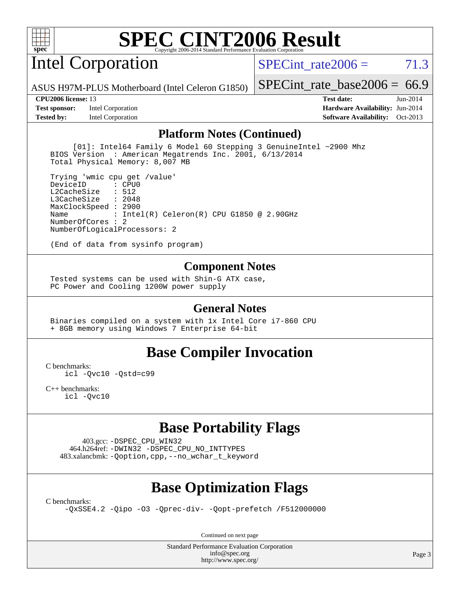

# Intel Corporation

SPECint rate $2006 = 71.3$ 

ASUS H97M-PLUS Motherboard (Intel Celeron G1850)

#### **[CPU2006 license:](http://www.spec.org/auto/cpu2006/Docs/result-fields.html#CPU2006license)** 13 **[Test date:](http://www.spec.org/auto/cpu2006/Docs/result-fields.html#Testdate)** Jun-2014

**[Test sponsor:](http://www.spec.org/auto/cpu2006/Docs/result-fields.html#Testsponsor)** Intel Corporation **[Hardware Availability:](http://www.spec.org/auto/cpu2006/Docs/result-fields.html#HardwareAvailability)** Jun-2014

[SPECint\\_rate\\_base2006 =](http://www.spec.org/auto/cpu2006/Docs/result-fields.html#SPECintratebase2006)  $66.9$ 

**[Tested by:](http://www.spec.org/auto/cpu2006/Docs/result-fields.html#Testedby)** Intel Corporation **[Software Availability:](http://www.spec.org/auto/cpu2006/Docs/result-fields.html#SoftwareAvailability)** Oct-2013

#### **[Platform Notes \(Continued\)](http://www.spec.org/auto/cpu2006/Docs/result-fields.html#PlatformNotes)**

 [01]: Intel64 Family 6 Model 60 Stepping 3 GenuineIntel ~2900 Mhz BIOS Version : American Megatrends Inc. 2001, 6/13/2014 Total Physical Memory: 8,007 MB

 Trying 'wmic cpu get /value' DeviceID L2CacheSize : 512 L3CacheSize : 2048 MaxClockSpeed : 2900 Name : Intel(R) Celeron(R) CPU G1850 @ 2.90GHz NumberOfCores : 2 NumberOfLogicalProcessors: 2

(End of data from sysinfo program)

#### **[Component Notes](http://www.spec.org/auto/cpu2006/Docs/result-fields.html#ComponentNotes)**

 Tested systems can be used with Shin-G ATX case, PC Power and Cooling 1200W power supply

#### **[General Notes](http://www.spec.org/auto/cpu2006/Docs/result-fields.html#GeneralNotes)**

 Binaries compiled on a system with 1x Intel Core i7-860 CPU + 8GB memory using Windows 7 Enterprise 64-bit

#### **[Base Compiler Invocation](http://www.spec.org/auto/cpu2006/Docs/result-fields.html#BaseCompilerInvocation)**

[C benchmarks](http://www.spec.org/auto/cpu2006/Docs/result-fields.html#Cbenchmarks):

[icl -Qvc10](http://www.spec.org/cpu2006/results/res2014q3/cpu2006-20140725-30589.flags.html#user_CCbase_intel_icc_vc10_9607f3ecbcdf68042245f068e51b40c1) [-Qstd=c99](http://www.spec.org/cpu2006/results/res2014q3/cpu2006-20140725-30589.flags.html#user_CCbase_intel_compiler_c99_mode_1a3d110e3041b3ad4466830521bdad2a)

[C++ benchmarks:](http://www.spec.org/auto/cpu2006/Docs/result-fields.html#CXXbenchmarks) [icl -Qvc10](http://www.spec.org/cpu2006/results/res2014q3/cpu2006-20140725-30589.flags.html#user_CXXbase_intel_icc_vc10_9607f3ecbcdf68042245f068e51b40c1)

### **[Base Portability Flags](http://www.spec.org/auto/cpu2006/Docs/result-fields.html#BasePortabilityFlags)**

 403.gcc: [-DSPEC\\_CPU\\_WIN32](http://www.spec.org/cpu2006/results/res2014q3/cpu2006-20140725-30589.flags.html#b403.gcc_baseCPORTABILITY_DSPEC_CPU_WIN32) 464.h264ref: [-DWIN32](http://www.spec.org/cpu2006/results/res2014q3/cpu2006-20140725-30589.flags.html#b464.h264ref_baseCPORTABILITY_DWIN32) [-DSPEC\\_CPU\\_NO\\_INTTYPES](http://www.spec.org/cpu2006/results/res2014q3/cpu2006-20140725-30589.flags.html#b464.h264ref_baseCPORTABILITY_DSPEC_CPU_NO_INTTYPES) 483.xalancbmk: [-Qoption,cpp,--no\\_wchar\\_t\\_keyword](http://www.spec.org/cpu2006/results/res2014q3/cpu2006-20140725-30589.flags.html#user_baseCXXPORTABILITY483_xalancbmk_f-no_wchar_t_keyword_ec0ad4495a16b4e858bfcb29d949d25d)

## **[Base Optimization Flags](http://www.spec.org/auto/cpu2006/Docs/result-fields.html#BaseOptimizationFlags)**

[C benchmarks](http://www.spec.org/auto/cpu2006/Docs/result-fields.html#Cbenchmarks):

[-QxSSE4.2](http://www.spec.org/cpu2006/results/res2014q3/cpu2006-20140725-30589.flags.html#user_CCbase_f-QxSSE42_372695bbe211719895df0310b324a1ca) [-Qipo](http://www.spec.org/cpu2006/results/res2014q3/cpu2006-20140725-30589.flags.html#user_CCbase_f-Qipo) [-O3](http://www.spec.org/cpu2006/results/res2014q3/cpu2006-20140725-30589.flags.html#user_CCbase_f-O3) [-Qprec-div-](http://www.spec.org/cpu2006/results/res2014q3/cpu2006-20140725-30589.flags.html#user_CCbase_f-Qprec-div-) [-Qopt-prefetch](http://www.spec.org/cpu2006/results/res2014q3/cpu2006-20140725-30589.flags.html#user_CCbase_f-Qprefetch_37c211608666b9dff9380561f602f0a8) [/F512000000](http://www.spec.org/cpu2006/results/res2014q3/cpu2006-20140725-30589.flags.html#user_CCbase_set_stack_space_98438a10eb60aa5f35f4c79d9b9b27b1)

Continued on next page

Standard Performance Evaluation Corporation [info@spec.org](mailto:info@spec.org) <http://www.spec.org/>

Page 3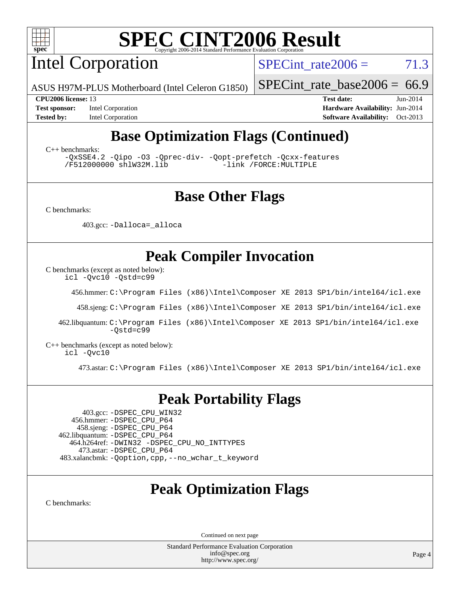

Intel Corporation

 $SPECTnt_rate2006 = 71.3$ 

[SPECint\\_rate\\_base2006 =](http://www.spec.org/auto/cpu2006/Docs/result-fields.html#SPECintratebase2006)  $66.9$ 

ASUS H97M-PLUS Motherboard (Intel Celeron G1850)

**[Tested by:](http://www.spec.org/auto/cpu2006/Docs/result-fields.html#Testedby)** Intel Corporation **[Software Availability:](http://www.spec.org/auto/cpu2006/Docs/result-fields.html#SoftwareAvailability)** Oct-2013

**[CPU2006 license:](http://www.spec.org/auto/cpu2006/Docs/result-fields.html#CPU2006license)** 13 **[Test date:](http://www.spec.org/auto/cpu2006/Docs/result-fields.html#Testdate)** Jun-2014 **[Test sponsor:](http://www.spec.org/auto/cpu2006/Docs/result-fields.html#Testsponsor)** Intel Corporation **[Hardware Availability:](http://www.spec.org/auto/cpu2006/Docs/result-fields.html#HardwareAvailability)** Jun-2014

# **[Base Optimization Flags \(Continued\)](http://www.spec.org/auto/cpu2006/Docs/result-fields.html#BaseOptimizationFlags)**

[C++ benchmarks:](http://www.spec.org/auto/cpu2006/Docs/result-fields.html#CXXbenchmarks)

[-QxSSE4.2](http://www.spec.org/cpu2006/results/res2014q3/cpu2006-20140725-30589.flags.html#user_CXXbase_f-QxSSE42_372695bbe211719895df0310b324a1ca) [-Qipo](http://www.spec.org/cpu2006/results/res2014q3/cpu2006-20140725-30589.flags.html#user_CXXbase_f-Qipo) [-O3](http://www.spec.org/cpu2006/results/res2014q3/cpu2006-20140725-30589.flags.html#user_CXXbase_f-O3) [-Qprec-div-](http://www.spec.org/cpu2006/results/res2014q3/cpu2006-20140725-30589.flags.html#user_CXXbase_f-Qprec-div-) [-Qopt-prefetch](http://www.spec.org/cpu2006/results/res2014q3/cpu2006-20140725-30589.flags.html#user_CXXbase_f-Qprefetch_37c211608666b9dff9380561f602f0a8) [-Qcxx-features](http://www.spec.org/cpu2006/results/res2014q3/cpu2006-20140725-30589.flags.html#user_CXXbase_f-Qcxx_features_dbf36c8a6dba956e22f1645e4dcd4d98) [/F512000000](http://www.spec.org/cpu2006/results/res2014q3/cpu2006-20140725-30589.flags.html#user_CXXbase_set_stack_space_98438a10eb60aa5f35f4c79d9b9b27b1) [shlW32M.lib](http://www.spec.org/cpu2006/results/res2014q3/cpu2006-20140725-30589.flags.html#user_CXXbase_SmartHeap32_d106338dfda1a055705c9b519e07f096)

## **[Base Other Flags](http://www.spec.org/auto/cpu2006/Docs/result-fields.html#BaseOtherFlags)**

[C benchmarks](http://www.spec.org/auto/cpu2006/Docs/result-fields.html#Cbenchmarks):

403.gcc: [-Dalloca=\\_alloca](http://www.spec.org/cpu2006/results/res2014q3/cpu2006-20140725-30589.flags.html#b403.gcc_baseEXTRA_CFLAGS_Dalloca_be3056838c12de2578596ca5467af7f3)

## **[Peak Compiler Invocation](http://www.spec.org/auto/cpu2006/Docs/result-fields.html#PeakCompilerInvocation)**

[C benchmarks \(except as noted below\)](http://www.spec.org/auto/cpu2006/Docs/result-fields.html#Cbenchmarksexceptasnotedbelow):

[icl -Qvc10](http://www.spec.org/cpu2006/results/res2014q3/cpu2006-20140725-30589.flags.html#user_CCpeak_intel_icc_vc10_9607f3ecbcdf68042245f068e51b40c1) [-Qstd=c99](http://www.spec.org/cpu2006/results/res2014q3/cpu2006-20140725-30589.flags.html#user_CCpeak_intel_compiler_c99_mode_1a3d110e3041b3ad4466830521bdad2a)

456.hmmer: [C:\Program Files \(x86\)\Intel\Composer XE 2013 SP1/bin/intel64/icl.exe](http://www.spec.org/cpu2006/results/res2014q3/cpu2006-20140725-30589.flags.html#user_peakCCLD456_hmmer_intel_icc_64bit_f549ed431576093dccb075b890b96ee2)

458.sjeng: [C:\Program Files \(x86\)\Intel\Composer XE 2013 SP1/bin/intel64/icl.exe](http://www.spec.org/cpu2006/results/res2014q3/cpu2006-20140725-30589.flags.html#user_peakCCLD458_sjeng_intel_icc_64bit_f549ed431576093dccb075b890b96ee2)

 462.libquantum: [C:\Program Files \(x86\)\Intel\Composer XE 2013 SP1/bin/intel64/icl.exe](http://www.spec.org/cpu2006/results/res2014q3/cpu2006-20140725-30589.flags.html#user_peakCCLD462_libquantum_intel_icc_64bit_f549ed431576093dccb075b890b96ee2) [-Qstd=c99](http://www.spec.org/cpu2006/results/res2014q3/cpu2006-20140725-30589.flags.html#user_peakCCLD462_libquantum_intel_compiler_c99_mode_1a3d110e3041b3ad4466830521bdad2a)

[C++ benchmarks \(except as noted below\):](http://www.spec.org/auto/cpu2006/Docs/result-fields.html#CXXbenchmarksexceptasnotedbelow) [icl -Qvc10](http://www.spec.org/cpu2006/results/res2014q3/cpu2006-20140725-30589.flags.html#user_CXXpeak_intel_icc_vc10_9607f3ecbcdf68042245f068e51b40c1)

473.astar: [C:\Program Files \(x86\)\Intel\Composer XE 2013 SP1/bin/intel64/icl.exe](http://www.spec.org/cpu2006/results/res2014q3/cpu2006-20140725-30589.flags.html#user_peakCXXLD473_astar_intel_icc_64bit_f549ed431576093dccb075b890b96ee2)

### **[Peak Portability Flags](http://www.spec.org/auto/cpu2006/Docs/result-fields.html#PeakPortabilityFlags)**

 403.gcc: [-DSPEC\\_CPU\\_WIN32](http://www.spec.org/cpu2006/results/res2014q3/cpu2006-20140725-30589.flags.html#b403.gcc_peakCPORTABILITY_DSPEC_CPU_WIN32) 456.hmmer: [-DSPEC\\_CPU\\_P64](http://www.spec.org/cpu2006/results/res2014q3/cpu2006-20140725-30589.flags.html#suite_peakPORTABILITY456_hmmer_DSPEC_CPU_P64) 458.sjeng: [-DSPEC\\_CPU\\_P64](http://www.spec.org/cpu2006/results/res2014q3/cpu2006-20140725-30589.flags.html#suite_peakPORTABILITY458_sjeng_DSPEC_CPU_P64) 462.libquantum: [-DSPEC\\_CPU\\_P64](http://www.spec.org/cpu2006/results/res2014q3/cpu2006-20140725-30589.flags.html#suite_peakPORTABILITY462_libquantum_DSPEC_CPU_P64) 464.h264ref: [-DWIN32](http://www.spec.org/cpu2006/results/res2014q3/cpu2006-20140725-30589.flags.html#b464.h264ref_peakCPORTABILITY_DWIN32) [-DSPEC\\_CPU\\_NO\\_INTTYPES](http://www.spec.org/cpu2006/results/res2014q3/cpu2006-20140725-30589.flags.html#b464.h264ref_peakCPORTABILITY_DSPEC_CPU_NO_INTTYPES) 473.astar: [-DSPEC\\_CPU\\_P64](http://www.spec.org/cpu2006/results/res2014q3/cpu2006-20140725-30589.flags.html#suite_peakPORTABILITY473_astar_DSPEC_CPU_P64) 483.xalancbmk: [-Qoption,cpp,--no\\_wchar\\_t\\_keyword](http://www.spec.org/cpu2006/results/res2014q3/cpu2006-20140725-30589.flags.html#user_peakCXXPORTABILITY483_xalancbmk_f-no_wchar_t_keyword_ec0ad4495a16b4e858bfcb29d949d25d)

## **[Peak Optimization Flags](http://www.spec.org/auto/cpu2006/Docs/result-fields.html#PeakOptimizationFlags)**

[C benchmarks](http://www.spec.org/auto/cpu2006/Docs/result-fields.html#Cbenchmarks):

Continued on next page

Standard Performance Evaluation Corporation [info@spec.org](mailto:info@spec.org) <http://www.spec.org/>

Page 4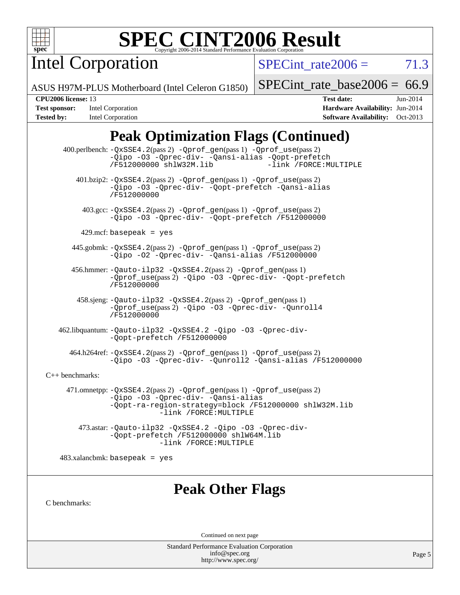

Intel Corporation

SPECint rate $2006 = 71.3$ 

ASUS H97M-PLUS Motherboard (Intel Celeron G1850)

[SPECint\\_rate\\_base2006 =](http://www.spec.org/auto/cpu2006/Docs/result-fields.html#SPECintratebase2006)  $66.9$ 

**[Tested by:](http://www.spec.org/auto/cpu2006/Docs/result-fields.html#Testedby)** Intel Corporation **[Software Availability:](http://www.spec.org/auto/cpu2006/Docs/result-fields.html#SoftwareAvailability)** Oct-2013

**[CPU2006 license:](http://www.spec.org/auto/cpu2006/Docs/result-fields.html#CPU2006license)** 13 **[Test date:](http://www.spec.org/auto/cpu2006/Docs/result-fields.html#Testdate)** Jun-2014 **[Test sponsor:](http://www.spec.org/auto/cpu2006/Docs/result-fields.html#Testsponsor)** Intel Corporation **[Hardware Availability:](http://www.spec.org/auto/cpu2006/Docs/result-fields.html#HardwareAvailability)** Jun-2014

# **[Peak Optimization Flags \(Continued\)](http://www.spec.org/auto/cpu2006/Docs/result-fields.html#PeakOptimizationFlags)**

 400.perlbench: [-QxSSE4.2](http://www.spec.org/cpu2006/results/res2014q3/cpu2006-20140725-30589.flags.html#user_peakPASS2_CFLAGSPASS2_LDFLAGS400_perlbench_f-QxSSE42_372695bbe211719895df0310b324a1ca)(pass 2) [-Qprof\\_gen](http://www.spec.org/cpu2006/results/res2014q3/cpu2006-20140725-30589.flags.html#user_peakPASS1_CFLAGSPASS1_LDFLAGS400_perlbench_Qprof_gen)(pass 1) [-Qprof\\_use](http://www.spec.org/cpu2006/results/res2014q3/cpu2006-20140725-30589.flags.html#user_peakPASS2_CFLAGSPASS2_LDFLAGS400_perlbench_Qprof_use)(pass 2) [-Qipo](http://www.spec.org/cpu2006/results/res2014q3/cpu2006-20140725-30589.flags.html#user_peakOPTIMIZE400_perlbench_f-Qipo) [-O3](http://www.spec.org/cpu2006/results/res2014q3/cpu2006-20140725-30589.flags.html#user_peakOPTIMIZE400_perlbench_f-O3) [-Qprec-div-](http://www.spec.org/cpu2006/results/res2014q3/cpu2006-20140725-30589.flags.html#user_peakOPTIMIZE400_perlbench_f-Qprec-div-) [-Qansi-alias](http://www.spec.org/cpu2006/results/res2014q3/cpu2006-20140725-30589.flags.html#user_peakOPTIMIZE400_perlbench_f-Qansi-alias) [-Qopt-prefetch](http://www.spec.org/cpu2006/results/res2014q3/cpu2006-20140725-30589.flags.html#user_peakOPTIMIZE400_perlbench_f-Qprefetch_37c211608666b9dff9380561f602f0a8) [/F512000000](http://www.spec.org/cpu2006/results/res2014q3/cpu2006-20140725-30589.flags.html#user_peakEXTRA_LDFLAGS400_perlbench_set_stack_space_98438a10eb60aa5f35f4c79d9b9b27b1) [shlW32M.lib](http://www.spec.org/cpu2006/results/res2014q3/cpu2006-20140725-30589.flags.html#user_peakEXTRA_LIBS400_perlbench_SmartHeap32_d106338dfda1a055705c9b519e07f096) 401.bzip2: [-QxSSE4.2](http://www.spec.org/cpu2006/results/res2014q3/cpu2006-20140725-30589.flags.html#user_peakPASS2_CFLAGSPASS2_LDFLAGS401_bzip2_f-QxSSE42_372695bbe211719895df0310b324a1ca)(pass 2) [-Qprof\\_gen](http://www.spec.org/cpu2006/results/res2014q3/cpu2006-20140725-30589.flags.html#user_peakPASS1_CFLAGSPASS1_LDFLAGS401_bzip2_Qprof_gen)(pass 1) [-Qprof\\_use](http://www.spec.org/cpu2006/results/res2014q3/cpu2006-20140725-30589.flags.html#user_peakPASS2_CFLAGSPASS2_LDFLAGS401_bzip2_Qprof_use)(pass 2) [-Qipo](http://www.spec.org/cpu2006/results/res2014q3/cpu2006-20140725-30589.flags.html#user_peakOPTIMIZE401_bzip2_f-Qipo) [-O3](http://www.spec.org/cpu2006/results/res2014q3/cpu2006-20140725-30589.flags.html#user_peakOPTIMIZE401_bzip2_f-O3) [-Qprec-div-](http://www.spec.org/cpu2006/results/res2014q3/cpu2006-20140725-30589.flags.html#user_peakOPTIMIZE401_bzip2_f-Qprec-div-) [-Qopt-prefetch](http://www.spec.org/cpu2006/results/res2014q3/cpu2006-20140725-30589.flags.html#user_peakOPTIMIZE401_bzip2_f-Qprefetch_37c211608666b9dff9380561f602f0a8) [-Qansi-alias](http://www.spec.org/cpu2006/results/res2014q3/cpu2006-20140725-30589.flags.html#user_peakOPTIMIZE401_bzip2_f-Qansi-alias) [/F512000000](http://www.spec.org/cpu2006/results/res2014q3/cpu2006-20140725-30589.flags.html#user_peakEXTRA_LDFLAGS401_bzip2_set_stack_space_98438a10eb60aa5f35f4c79d9b9b27b1) 403.gcc: [-QxSSE4.2](http://www.spec.org/cpu2006/results/res2014q3/cpu2006-20140725-30589.flags.html#user_peakPASS2_CFLAGSPASS2_LDFLAGS403_gcc_f-QxSSE42_372695bbe211719895df0310b324a1ca)(pass 2) [-Qprof\\_gen](http://www.spec.org/cpu2006/results/res2014q3/cpu2006-20140725-30589.flags.html#user_peakPASS1_CFLAGSPASS1_LDFLAGS403_gcc_Qprof_gen)(pass 1) [-Qprof\\_use](http://www.spec.org/cpu2006/results/res2014q3/cpu2006-20140725-30589.flags.html#user_peakPASS2_CFLAGSPASS2_LDFLAGS403_gcc_Qprof_use)(pass 2) [-Qipo](http://www.spec.org/cpu2006/results/res2014q3/cpu2006-20140725-30589.flags.html#user_peakOPTIMIZE403_gcc_f-Qipo) [-O3](http://www.spec.org/cpu2006/results/res2014q3/cpu2006-20140725-30589.flags.html#user_peakOPTIMIZE403_gcc_f-O3) [-Qprec-div-](http://www.spec.org/cpu2006/results/res2014q3/cpu2006-20140725-30589.flags.html#user_peakOPTIMIZE403_gcc_f-Qprec-div-) [-Qopt-prefetch](http://www.spec.org/cpu2006/results/res2014q3/cpu2006-20140725-30589.flags.html#user_peakOPTIMIZE403_gcc_f-Qprefetch_37c211608666b9dff9380561f602f0a8) [/F512000000](http://www.spec.org/cpu2006/results/res2014q3/cpu2006-20140725-30589.flags.html#user_peakEXTRA_LDFLAGS403_gcc_set_stack_space_98438a10eb60aa5f35f4c79d9b9b27b1) 429.mcf: basepeak = yes 445.gobmk: [-QxSSE4.2](http://www.spec.org/cpu2006/results/res2014q3/cpu2006-20140725-30589.flags.html#user_peakPASS2_CFLAGSPASS2_LDFLAGS445_gobmk_f-QxSSE42_372695bbe211719895df0310b324a1ca)(pass 2) [-Qprof\\_gen](http://www.spec.org/cpu2006/results/res2014q3/cpu2006-20140725-30589.flags.html#user_peakPASS1_CFLAGSPASS1_LDFLAGS445_gobmk_Qprof_gen)(pass 1) [-Qprof\\_use](http://www.spec.org/cpu2006/results/res2014q3/cpu2006-20140725-30589.flags.html#user_peakPASS2_CFLAGSPASS2_LDFLAGS445_gobmk_Qprof_use)(pass 2) [-Qipo](http://www.spec.org/cpu2006/results/res2014q3/cpu2006-20140725-30589.flags.html#user_peakOPTIMIZE445_gobmk_f-Qipo) [-O2](http://www.spec.org/cpu2006/results/res2014q3/cpu2006-20140725-30589.flags.html#user_peakOPTIMIZE445_gobmk_f-O2) [-Qprec-div-](http://www.spec.org/cpu2006/results/res2014q3/cpu2006-20140725-30589.flags.html#user_peakOPTIMIZE445_gobmk_f-Qprec-div-) [-Qansi-alias](http://www.spec.org/cpu2006/results/res2014q3/cpu2006-20140725-30589.flags.html#user_peakOPTIMIZE445_gobmk_f-Qansi-alias) [/F512000000](http://www.spec.org/cpu2006/results/res2014q3/cpu2006-20140725-30589.flags.html#user_peakEXTRA_LDFLAGS445_gobmk_set_stack_space_98438a10eb60aa5f35f4c79d9b9b27b1) 456.hmmer: [-Qauto-ilp32](http://www.spec.org/cpu2006/results/res2014q3/cpu2006-20140725-30589.flags.html#user_peakCCLD456_hmmer_f-Qauto-ilp32) [-QxSSE4.2](http://www.spec.org/cpu2006/results/res2014q3/cpu2006-20140725-30589.flags.html#user_peakPASS2_CFLAGSPASS2_LDFLAGS456_hmmer_f-QxSSE42_372695bbe211719895df0310b324a1ca)(pass 2) [-Qprof\\_gen](http://www.spec.org/cpu2006/results/res2014q3/cpu2006-20140725-30589.flags.html#user_peakPASS1_CFLAGSPASS1_LDFLAGS456_hmmer_Qprof_gen)(pass 1) [-Qprof\\_use](http://www.spec.org/cpu2006/results/res2014q3/cpu2006-20140725-30589.flags.html#user_peakPASS2_CFLAGSPASS2_LDFLAGS456_hmmer_Qprof_use)(pass 2) [-Qipo](http://www.spec.org/cpu2006/results/res2014q3/cpu2006-20140725-30589.flags.html#user_peakOPTIMIZE456_hmmer_f-Qipo) [-O3](http://www.spec.org/cpu2006/results/res2014q3/cpu2006-20140725-30589.flags.html#user_peakOPTIMIZE456_hmmer_f-O3) [-Qprec-div-](http://www.spec.org/cpu2006/results/res2014q3/cpu2006-20140725-30589.flags.html#user_peakOPTIMIZE456_hmmer_f-Qprec-div-) [-Qopt-prefetch](http://www.spec.org/cpu2006/results/res2014q3/cpu2006-20140725-30589.flags.html#user_peakOPTIMIZE456_hmmer_f-Qprefetch_37c211608666b9dff9380561f602f0a8) [/F512000000](http://www.spec.org/cpu2006/results/res2014q3/cpu2006-20140725-30589.flags.html#user_peakEXTRA_LDFLAGS456_hmmer_set_stack_space_98438a10eb60aa5f35f4c79d9b9b27b1) 458.sjeng: [-Qauto-ilp32](http://www.spec.org/cpu2006/results/res2014q3/cpu2006-20140725-30589.flags.html#user_peakCCLD458_sjeng_f-Qauto-ilp32) [-QxSSE4.2](http://www.spec.org/cpu2006/results/res2014q3/cpu2006-20140725-30589.flags.html#user_peakPASS2_CFLAGSPASS2_LDFLAGS458_sjeng_f-QxSSE42_372695bbe211719895df0310b324a1ca)(pass 2) [-Qprof\\_gen](http://www.spec.org/cpu2006/results/res2014q3/cpu2006-20140725-30589.flags.html#user_peakPASS1_CFLAGSPASS1_LDFLAGS458_sjeng_Qprof_gen)(pass 1) [-Qprof\\_use](http://www.spec.org/cpu2006/results/res2014q3/cpu2006-20140725-30589.flags.html#user_peakPASS2_CFLAGSPASS2_LDFLAGS458_sjeng_Qprof_use)(pass 2) [-Qipo](http://www.spec.org/cpu2006/results/res2014q3/cpu2006-20140725-30589.flags.html#user_peakOPTIMIZE458_sjeng_f-Qipo) [-O3](http://www.spec.org/cpu2006/results/res2014q3/cpu2006-20140725-30589.flags.html#user_peakOPTIMIZE458_sjeng_f-O3) [-Qprec-div-](http://www.spec.org/cpu2006/results/res2014q3/cpu2006-20140725-30589.flags.html#user_peakOPTIMIZE458_sjeng_f-Qprec-div-) [-Qunroll4](http://www.spec.org/cpu2006/results/res2014q3/cpu2006-20140725-30589.flags.html#user_peakOPTIMIZE458_sjeng_f-Qunroll_013b1c0ea3aa84ef2c65e488bcc3d968) [/F512000000](http://www.spec.org/cpu2006/results/res2014q3/cpu2006-20140725-30589.flags.html#user_peakEXTRA_LDFLAGS458_sjeng_set_stack_space_98438a10eb60aa5f35f4c79d9b9b27b1) 462.libquantum: [-Qauto-ilp32](http://www.spec.org/cpu2006/results/res2014q3/cpu2006-20140725-30589.flags.html#user_peakCCLD462_libquantum_f-Qauto-ilp32) [-QxSSE4.2](http://www.spec.org/cpu2006/results/res2014q3/cpu2006-20140725-30589.flags.html#user_peakOPTIMIZE462_libquantum_f-QxSSE42_372695bbe211719895df0310b324a1ca) [-Qipo](http://www.spec.org/cpu2006/results/res2014q3/cpu2006-20140725-30589.flags.html#user_peakOPTIMIZE462_libquantum_f-Qipo) [-O3](http://www.spec.org/cpu2006/results/res2014q3/cpu2006-20140725-30589.flags.html#user_peakOPTIMIZE462_libquantum_f-O3) [-Qprec-div-](http://www.spec.org/cpu2006/results/res2014q3/cpu2006-20140725-30589.flags.html#user_peakOPTIMIZE462_libquantum_f-Qprec-div-) [-Qopt-prefetch](http://www.spec.org/cpu2006/results/res2014q3/cpu2006-20140725-30589.flags.html#user_peakOPTIMIZE462_libquantum_f-Qprefetch_37c211608666b9dff9380561f602f0a8) [/F512000000](http://www.spec.org/cpu2006/results/res2014q3/cpu2006-20140725-30589.flags.html#user_peakEXTRA_LDFLAGS462_libquantum_set_stack_space_98438a10eb60aa5f35f4c79d9b9b27b1) 464.h264ref: [-QxSSE4.2](http://www.spec.org/cpu2006/results/res2014q3/cpu2006-20140725-30589.flags.html#user_peakPASS2_CFLAGSPASS2_LDFLAGS464_h264ref_f-QxSSE42_372695bbe211719895df0310b324a1ca)(pass 2) [-Qprof\\_gen](http://www.spec.org/cpu2006/results/res2014q3/cpu2006-20140725-30589.flags.html#user_peakPASS1_CFLAGSPASS1_LDFLAGS464_h264ref_Qprof_gen)(pass 1) [-Qprof\\_use](http://www.spec.org/cpu2006/results/res2014q3/cpu2006-20140725-30589.flags.html#user_peakPASS2_CFLAGSPASS2_LDFLAGS464_h264ref_Qprof_use)(pass 2) [-Qipo](http://www.spec.org/cpu2006/results/res2014q3/cpu2006-20140725-30589.flags.html#user_peakOPTIMIZE464_h264ref_f-Qipo) [-O3](http://www.spec.org/cpu2006/results/res2014q3/cpu2006-20140725-30589.flags.html#user_peakOPTIMIZE464_h264ref_f-O3) [-Qprec-div-](http://www.spec.org/cpu2006/results/res2014q3/cpu2006-20140725-30589.flags.html#user_peakOPTIMIZE464_h264ref_f-Qprec-div-) [-Qunroll2](http://www.spec.org/cpu2006/results/res2014q3/cpu2006-20140725-30589.flags.html#user_peakOPTIMIZE464_h264ref_f-Qunroll_1d9456aa650e77fc2a0cf43cef3fa08c) [-Qansi-alias](http://www.spec.org/cpu2006/results/res2014q3/cpu2006-20140725-30589.flags.html#user_peakOPTIMIZE464_h264ref_f-Qansi-alias) [/F512000000](http://www.spec.org/cpu2006/results/res2014q3/cpu2006-20140725-30589.flags.html#user_peakEXTRA_LDFLAGS464_h264ref_set_stack_space_98438a10eb60aa5f35f4c79d9b9b27b1) [C++ benchmarks:](http://www.spec.org/auto/cpu2006/Docs/result-fields.html#CXXbenchmarks) 471.omnetpp: [-QxSSE4.2](http://www.spec.org/cpu2006/results/res2014q3/cpu2006-20140725-30589.flags.html#user_peakPASS2_CXXFLAGSPASS2_LDFLAGS471_omnetpp_f-QxSSE42_372695bbe211719895df0310b324a1ca)(pass 2) [-Qprof\\_gen](http://www.spec.org/cpu2006/results/res2014q3/cpu2006-20140725-30589.flags.html#user_peakPASS1_CXXFLAGSPASS1_LDFLAGS471_omnetpp_Qprof_gen)(pass 1) [-Qprof\\_use](http://www.spec.org/cpu2006/results/res2014q3/cpu2006-20140725-30589.flags.html#user_peakPASS2_CXXFLAGSPASS2_LDFLAGS471_omnetpp_Qprof_use)(pass 2) [-Qipo](http://www.spec.org/cpu2006/results/res2014q3/cpu2006-20140725-30589.flags.html#user_peakOPTIMIZE471_omnetpp_f-Qipo) [-O3](http://www.spec.org/cpu2006/results/res2014q3/cpu2006-20140725-30589.flags.html#user_peakOPTIMIZE471_omnetpp_f-O3) [-Qprec-div-](http://www.spec.org/cpu2006/results/res2014q3/cpu2006-20140725-30589.flags.html#user_peakOPTIMIZE471_omnetpp_f-Qprec-div-) [-Qansi-alias](http://www.spec.org/cpu2006/results/res2014q3/cpu2006-20140725-30589.flags.html#user_peakOPTIMIZE471_omnetpp_f-Qansi-alias) [-Qopt-ra-region-strategy=block](http://www.spec.org/cpu2006/results/res2014q3/cpu2006-20140725-30589.flags.html#user_peakOPTIMIZE471_omnetpp_f-Qopt-ra-region-strategy_d2240e80a5d9053a1fd400255dbf4159) [/F512000000](http://www.spec.org/cpu2006/results/res2014q3/cpu2006-20140725-30589.flags.html#user_peakEXTRA_LDFLAGS471_omnetpp_set_stack_space_98438a10eb60aa5f35f4c79d9b9b27b1) [shlW32M.lib](http://www.spec.org/cpu2006/results/res2014q3/cpu2006-20140725-30589.flags.html#user_peakEXTRA_LIBS471_omnetpp_SmartHeap32_d106338dfda1a055705c9b519e07f096)  [-link /FORCE:MULTIPLE](http://www.spec.org/cpu2006/results/res2014q3/cpu2006-20140725-30589.flags.html#user_peakLDOUT471_omnetpp_link_force_multiple2_070fe330869edf77077b841074b8b0b6)

 473.astar: [-Qauto-ilp32](http://www.spec.org/cpu2006/results/res2014q3/cpu2006-20140725-30589.flags.html#user_peakCXXLD473_astar_f-Qauto-ilp32) [-QxSSE4.2](http://www.spec.org/cpu2006/results/res2014q3/cpu2006-20140725-30589.flags.html#user_peakOPTIMIZE473_astar_f-QxSSE42_372695bbe211719895df0310b324a1ca) [-Qipo](http://www.spec.org/cpu2006/results/res2014q3/cpu2006-20140725-30589.flags.html#user_peakOPTIMIZE473_astar_f-Qipo) [-O3](http://www.spec.org/cpu2006/results/res2014q3/cpu2006-20140725-30589.flags.html#user_peakOPTIMIZE473_astar_f-O3) [-Qprec-div-](http://www.spec.org/cpu2006/results/res2014q3/cpu2006-20140725-30589.flags.html#user_peakOPTIMIZE473_astar_f-Qprec-div-) [-Qopt-prefetch](http://www.spec.org/cpu2006/results/res2014q3/cpu2006-20140725-30589.flags.html#user_peakOPTIMIZE473_astar_f-Qprefetch_37c211608666b9dff9380561f602f0a8) [/F512000000](http://www.spec.org/cpu2006/results/res2014q3/cpu2006-20140725-30589.flags.html#user_peakEXTRA_LDFLAGS473_astar_set_stack_space_98438a10eb60aa5f35f4c79d9b9b27b1) [shlW64M.lib](http://www.spec.org/cpu2006/results/res2014q3/cpu2006-20140725-30589.flags.html#user_peakEXTRA_LIBS473_astar_SmartHeap64_c4f7f76711bdf8c0633a5c1edf6e5396)  [-link /FORCE:MULTIPLE](http://www.spec.org/cpu2006/results/res2014q3/cpu2006-20140725-30589.flags.html#user_peakLDOUT473_astar_link_force_multiple2_070fe330869edf77077b841074b8b0b6)

 $483.xalanchmk: basepeak = yes$ 

## **[Peak Other Flags](http://www.spec.org/auto/cpu2006/Docs/result-fields.html#PeakOtherFlags)**

[C benchmarks](http://www.spec.org/auto/cpu2006/Docs/result-fields.html#Cbenchmarks):

Continued on next page

Standard Performance Evaluation Corporation [info@spec.org](mailto:info@spec.org) <http://www.spec.org/>